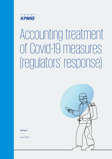

# Accounting treatment of Covid-19 measures (regulators' response)

**[kpmg.r](https://home.kpmg/rs/en/home.html)s**

April 2020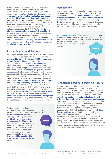Several prudential and regulatory bodies have issued comments on application of IFRS 9 in the current environment. Their joint feature is a **call to carefully consider judgements and estimates that are going to be made, while avoiding mechanical application of current IFRS 9 models and methodologies.** Among them are the European Securities and Markets Authority (**ESMA**) and the European Banking Authority (**EBA**) which made public statements on IFRS 9 accounting and risk related treatment of various government aid measures and other issues related to COVID-19. **Application of all these measures should be carefully considered under the IFRS 9** requirements. Banks are called to draw upon the flexibility embedded into the accounting and regulatory frameworks in order to maintain soundness. **The considerations are equally relevant in the Serbian banking environment due to introduced "moratoria" for all credit commitments.**

#### **Accounting for modifications**

Agreeing to changes in the contractual cash flows of loans are considered to be modifications and thus **have to be accounted for under the general IFRS 9 requirements for modification of financial assets.** As a first step, it should be determined **whether modification is substantial**, leading to the **derecognition** of the old financial asset and recognition of the new financial asset. If this is the case, the **derecognition gain/loss should be recognized**. Otherwise, modification gain/loss should be recognized by discounting renegotiated cash flows using the original effective interest rate. IFRS 9 does not contain any specific guidance for this context, but rather banks should **follow general principles of the standard and accounting policy they already have in place** for modifications of financial assets under IFRS 9. It can be noted that the decision might be highly judgmental and dependent on both qualitative and quantitative criteria. Needles to say, **appropriate and sufficient disclosures** are also expected once they become due. In case of **substantial modification, criteria for POCI recognition become relevant** and judgement needs to be applied on the classification of newly recognized financial assets.

The first impression is that accounting for promulgated aid measures (including "moratoria" introduced by the NBS for Serbian banks) will represent a weighty

**operational burden** for banks, but also **may result in (significant) modification / derecognition effects recognized in the P&L**, taking into account that they relate to entire loan portfolios – the ensuing gymnastics required to calculate those are yet to be understood.

There are also numerous open questions as to **how new cash flows should be calculated in order to comply with the issued by-law**.





#### **Forbearance**

Government imposed or voluntarily provided measures taken as a response to Covid-19 crisis to the extent they are not borrower specific **do not have to be classified as forbearance measures – no automatic reclassification**. Rather, the situation has to be analyzed on a **case by case basis**, and borrowers who experience financial difficulties and for which specific measures are tailored should be reported as satisfying the definition of forbearance.

**Individual assessment** of the borrowers before making the classification is a challenging task, given that entire portfolios are impacted. Case by case analysis might be difficult to conduct in practice and

banks have to find solutions to stay compliant.





### **Significant increase in credit risk (SICR)**

Relief measures individually agreed with any borrower are usually considered as a forbearance indicator and/or indicator of SICR. However, government-imposed measures (such as "moratoria" introduced by the NBS) that apply to all borrowers and are aimed at addressing system-wide risks **should not be taken automatically as the only evidence that credit risk of the borrower has increased.** These measures have to be analyzed by taking into account all different aspects to distinguish between, for example, whether credit risk has significantly increased or the borrower is experiencing temporary liquidity issues. The assessment might be difficult to perform on an **individual instrument level**, so a collective basis (on sub-groups of financial instruments) might work as a solution. Regulators are warning that potential exaggeration of the negative effects of the ongoing shock should be avoided. However, taking a look at the current conditions of certain industries (for example transportation, tourism) it is an understatement to say they are hit by the current situation which will affect them in the short and medium term.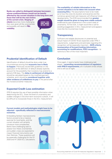#### **Banks are called to distinguish between borrowers whose creditworthiness would not be heavily affected by the current situation in the long term and those that will be the real victims**

**of the current crisis. Staging of clients** becomes more challenging than ever given all the uncertainties and possibly will result in **P&L volatility**.





# **Prudential identification of Default**

Identification of default should be done under true circumstances proving that **economic loss is likely to happen**. Previously issued EBA guidelines on the application of the definition of default already explicitly account for the possibility that moratoria may extend to a period of 90 days. The **delay in settlement of obligations** should be calculated based on the modified payment schedule, and it should be **considered together with other evidence of unlikeliness to pay** in the period after the moratorium/other measures.

### **Expected Credit Loss estimation**

IFRS 9 requires the use of best possible information when determining the ECL. Given the level of uncertainty and sudden changes in the short-term economic outlook, it will be difficult to incorporate those in the ECL measurement.

#### **Current models and methodologies might have to be adjusted – specifically reflected in macroeconomic scenarios.**

Embedding Serbian macroeconomic factors proved to be a massive exercise for local banks, and the current situation will certainly introduce more complexities. Banks have challenging task to assess how these uncertainties and sudden crises are expected to impact financial instruments over their lifetimes. These questions will be especially challenging for the Q1 2020 and H1 2020 ECL calculations.



#### **The availability of reliable information in the current situation is to be taken into account when**

**assessing ECLs**. The assumptions have to be made as to how the crisis (its duration and severity) and the numerous government aid measures will influence future developments. The ECB recommended that **greater weight should be given to long-term stable outlook** evidenced by past experience in the current state of uncertainty. At first look, it might sound like a call for avoiding exaggeration in ECL measurement and appears more like the incurred loss model.

#### **Transparency**

Sufficient and reliable disclosures on potential and actual impact of COVID-19 are expected under IFRS 7 requirements. Judgements and estimates regarding ECL recognition will be especially important – **SICR criteria, incorporation of forward-looking information, accounting for modifications, POCI recognition** – to name but a few of the most important.

## **Conclusion**

Once again, it seems banks have challenging task ahead – **reconciling recommendations of regulators**  with IFRS 9 requirements, all in turbulent times whose end is still out of sight.